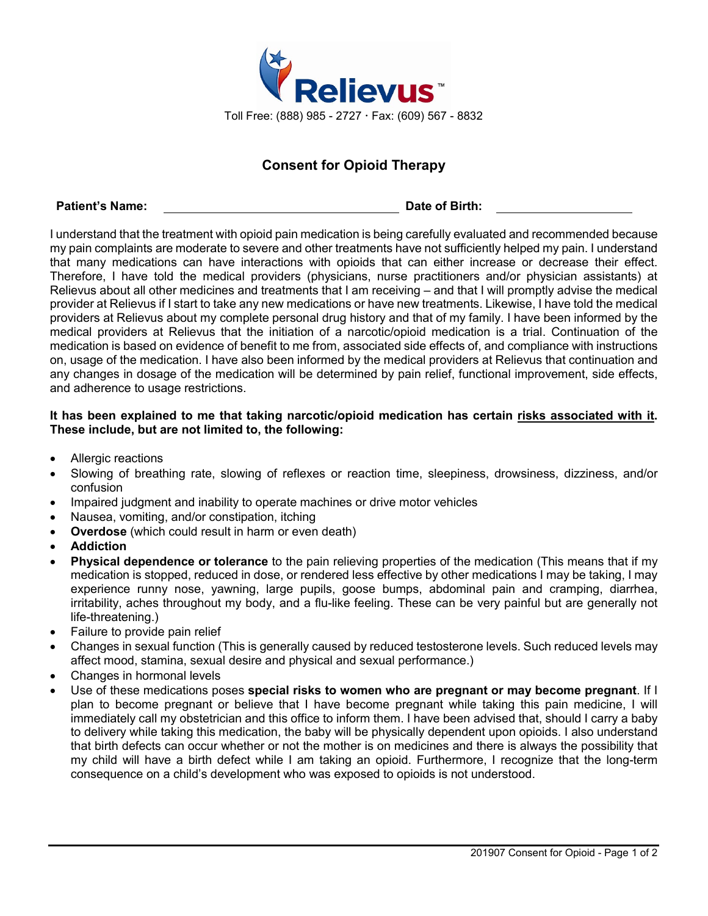

## **Consent for Opioid Therapy**

## **Patient's Name: Date of Birth:**

I understand that the treatment with opioid pain medication is being carefully evaluated and recommended because my pain complaints are moderate to severe and other treatments have not sufficiently helped my pain. I understand that many medications can have interactions with opioids that can either increase or decrease their effect. Therefore, I have told the medical providers (physicians, nurse practitioners and/or physician assistants) at Relievus about all other medicines and treatments that I am receiving – and that I will promptly advise the medical provider at Relievus if I start to take any new medications or have new treatments. Likewise, I have told the medical providers at Relievus about my complete personal drug history and that of my family. I have been informed by the medical providers at Relievus that the initiation of a narcotic/opioid medication is a trial. Continuation of the medication is based on evidence of benefit to me from, associated side effects of, and compliance with instructions on, usage of the medication. I have also been informed by the medical providers at Relievus that continuation and any changes in dosage of the medication will be determined by pain relief, functional improvement, side effects, and adherence to usage restrictions.

## **It has been explained to me that taking narcotic/opioid medication has certain risks associated with it. These include, but are not limited to, the following:**

- Allergic reactions
- Slowing of breathing rate, slowing of reflexes or reaction time, sleepiness, drowsiness, dizziness, and/or confusion
- Impaired judgment and inability to operate machines or drive motor vehicles
- Nausea, vomiting, and/or constipation, itching
- **Overdose** (which could result in harm or even death)
- **Addiction**
- **Physical dependence or tolerance** to the pain relieving properties of the medication (This means that if my medication is stopped, reduced in dose, or rendered less effective by other medications I may be taking, I may experience runny nose, yawning, large pupils, goose bumps, abdominal pain and cramping, diarrhea, irritability, aches throughout my body, and a flu-like feeling. These can be very painful but are generally not life-threatening.)
- Failure to provide pain relief
- Changes in sexual function (This is generally caused by reduced testosterone levels. Such reduced levels may affect mood, stamina, sexual desire and physical and sexual performance.)
- Changes in hormonal levels
- Use of these medications poses **special risks to women who are pregnant or may become pregnant**. If I plan to become pregnant or believe that I have become pregnant while taking this pain medicine, I will immediately call my obstetrician and this office to inform them. I have been advised that, should I carry a baby to delivery while taking this medication, the baby will be physically dependent upon opioids. I also understand that birth defects can occur whether or not the mother is on medicines and there is always the possibility that my child will have a birth defect while I am taking an opioid. Furthermore, I recognize that the long-term consequence on a child's development who was exposed to opioids is not understood.